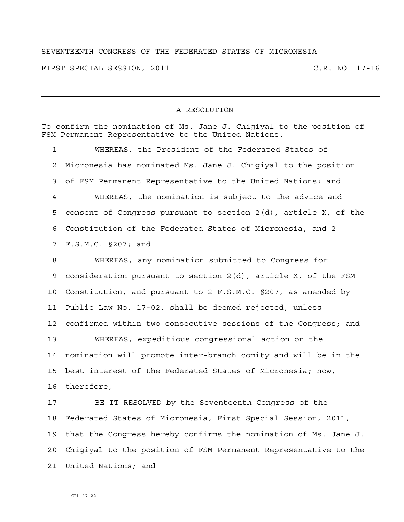## SEVENTEENTH CONGRESS OF THE FEDERATED STATES OF MICRONESIA

FIRST SPECIAL SESSION, 2011 C.R. NO. 17-16

## A RESOLUTION

|    | To confirm the nomination of Ms. Jane J. Chigiyal to the position of<br>FSM Permanent Representative to the United Nations. |
|----|-----------------------------------------------------------------------------------------------------------------------------|
| 1  | WHEREAS, the President of the Federated States of                                                                           |
| 2  | Micronesia has nominated Ms. Jane J. Chigiyal to the position                                                               |
| 3  | of FSM Permanent Representative to the United Nations; and                                                                  |
| 4  | WHEREAS, the nomination is subject to the advice and                                                                        |
| 5  | consent of Congress pursuant to section $2(d)$ , article X, of the                                                          |
| 6  | Constitution of the Federated States of Micronesia, and 2                                                                   |
| 7  | F.S.M.C. §207; and                                                                                                          |
| 8  | WHEREAS, any nomination submitted to Congress for                                                                           |
| 9  | consideration pursuant to section $2(d)$ , article X, of the FSM                                                            |
| 10 | Constitution, and pursuant to 2 F.S.M.C. §207, as amended by                                                                |
| 11 | Public Law No. 17-02, shall be deemed rejected, unless                                                                      |
| 12 | confirmed within two consecutive sessions of the Congress; and                                                              |
| 13 | WHEREAS, expeditious congressional action on the                                                                            |
| 14 | nomination will promote inter-branch comity and will be in the                                                              |
| 15 | best interest of the Federated States of Micronesia; now,                                                                   |
| 16 | therefore,                                                                                                                  |
| 17 | BE IT RESOLVED by the Seventeenth Congress of the                                                                           |
|    | 18 Federated States of Micronesia, First Special Session, 2011,                                                             |
| 19 | that the Congress hereby confirms the nomination of Ms. Jane J.                                                             |
| 20 | Chigiyal to the position of FSM Permanent Representative to the                                                             |
| 21 | United Nations; and                                                                                                         |